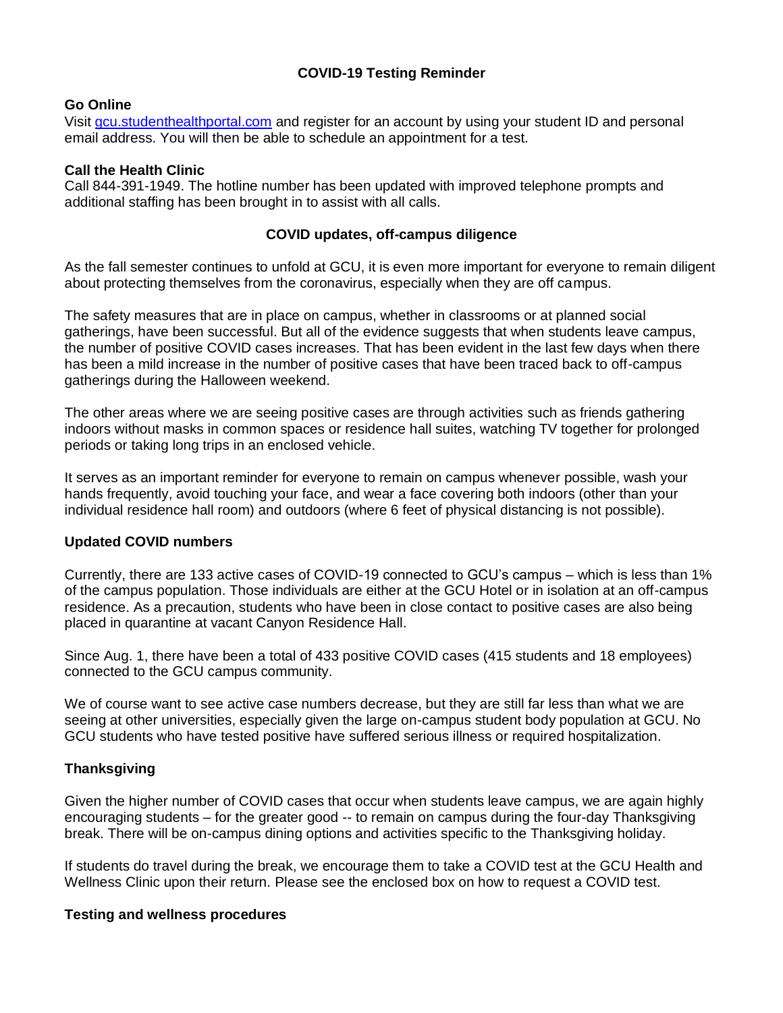# **COVID-19 Testing Reminder**

# **Go Online**

Visit [gcu.studenthealthportal.com](https://urldefense.com/v3/__http:/gcu.studenthealthportal.com__;!!AfrVn5rO!hSBFNSvtgAlX5G_Lwnc0uPRfYH3yuULMKKh5FPGkL5K43l4FiWDaQXEECu5GWYZJ4BE$) and register for an account by using your student ID and personal email address. You will then be able to schedule an appointment for a test.

### **Call the Health Clinic**

Call 844-391-1949. The hotline number has been updated with improved telephone prompts and additional staffing has been brought in to assist with all calls.

## **COVID updates, off-campus diligence**

As the fall semester continues to unfold at GCU, it is even more important for everyone to remain diligent about protecting themselves from the coronavirus, especially when they are off campus.

The safety measures that are in place on campus, whether in classrooms or at planned social gatherings, have been successful. But all of the evidence suggests that when students leave campus, the number of positive COVID cases increases. That has been evident in the last few days when there has been a mild increase in the number of positive cases that have been traced back to off-campus gatherings during the Halloween weekend.

The other areas where we are seeing positive cases are through activities such as friends gathering indoors without masks in common spaces or residence hall suites, watching TV together for prolonged periods or taking long trips in an enclosed vehicle.

It serves as an important reminder for everyone to remain on campus whenever possible, wash your hands frequently, avoid touching your face, and wear a face covering both indoors (other than your individual residence hall room) and outdoors (where 6 feet of physical distancing is not possible).

# **Updated COVID numbers**

Currently, there are 133 active cases of COVID-19 connected to GCU's campus – which is less than 1% of the campus population. Those individuals are either at the GCU Hotel or in isolation at an off-campus residence. As a precaution, students who have been in close contact to positive cases are also being placed in quarantine at vacant Canyon Residence Hall.

Since Aug. 1, there have been a total of 433 positive COVID cases (415 students and 18 employees) connected to the GCU campus community.

We of course want to see active case numbers decrease, but they are still far less than what we are seeing at other universities, especially given the large on-campus student body population at GCU. No GCU students who have tested positive have suffered serious illness or required hospitalization.

# **Thanksgiving**

Given the higher number of COVID cases that occur when students leave campus, we are again highly encouraging students – for the greater good -- to remain on campus during the four-day Thanksgiving break. There will be on-campus dining options and activities specific to the Thanksgiving holiday.

If students do travel during the break, we encourage them to take a COVID test at the GCU Health and Wellness Clinic upon their return. Please see the enclosed box on how to request a COVID test.

### **Testing and wellness procedures**